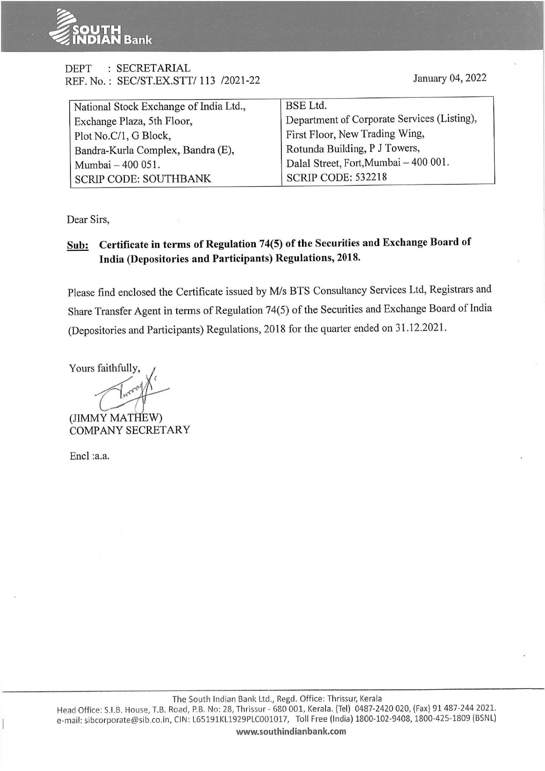

### DEPT : SECRETARIAL REF. No.: SEC/ST.EX.SIT/ 113 /2021-22

January 04, 2022

| National Stock Exchange of India Ltd., | <b>BSE</b> Ltd.                             |
|----------------------------------------|---------------------------------------------|
| Exchange Plaza, 5th Floor,             | Department of Corporate Services (Listing), |
| Plot No.C/1, G Block,                  | First Floor, New Trading Wing,              |
| Bandra-Kurla Complex, Bandra (E),      | Rotunda Building, P J Towers,               |
| Mumbai - 400 051.                      | Dalal Street, Fort, Mumbai - 400 001.       |
| <b>SCRIP CODE: SOUTHBANK</b>           | <b>SCRIP CODE: 532218</b>                   |

Dear Sirs,

## **Sub: Certificate in terms of Regulation 74(5) of the Securities and Exchange Board of India (Depositories and Participants) Regulations, 2018.**

Please find enclosed the Certificate issued by M/s BTS Consultancy Services Ltd, Registrars and Share Transfer Agent in terms of Regulation 74(5) of the Securities and Exchange Board of India (Depositories and Participants) Regulations, 2018 for the quarter ended on 31.12.2021.

Yours faithfully,

(JIMMY MATHEW) COMPANY SECRETARY

Encl :a.a.